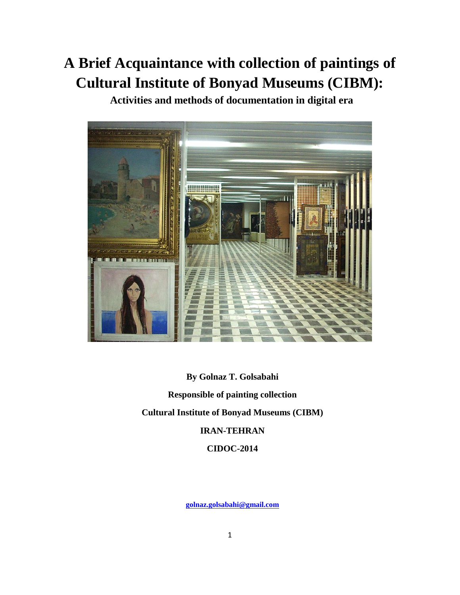# **A Brief Acquaintance with collection of paintings of Cultural Institute of Bonyad Museums (CIBM):**

**Activities and methods of documentation in digital era**



**By Golnaz T. Golsabahi Responsible of painting collection Cultural Institute of Bonyad Museums (CIBM) IRAN-TEHRAN CIDOC-2014**

**[golnaz.golsabahi@gmail.com](mailto:golnaz.golsabahi@gmail.com)**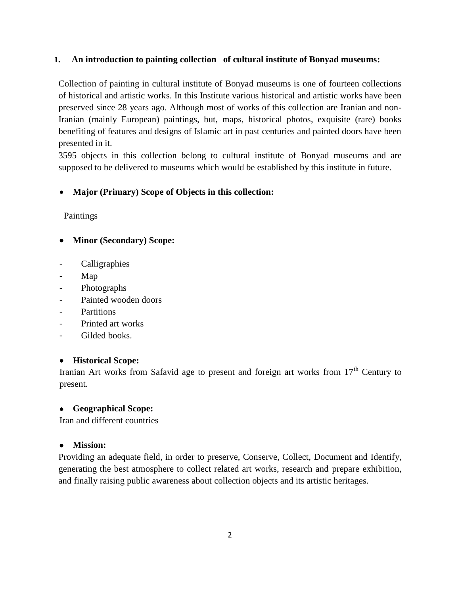## **1. An introduction to painting collection of cultural institute of Bonyad museums:**

Collection of painting in cultural institute of Bonyad museums is one of fourteen collections of historical and artistic works. In this Institute various historical and artistic works have been preserved since 28 years ago. Although most of works of this collection are Iranian and non-Iranian (mainly European) paintings, but, maps, historical photos, exquisite (rare) books benefiting of features and designs of Islamic art in past centuries and painted doors have been presented in it.

3595 objects in this collection belong to cultural institute of Bonyad museums and are supposed to be delivered to museums which would be established by this institute in future.

## **Major (Primary) Scope of Objects in this collection:**

Paintings

- **Minor (Secondary) Scope:**
- **Calligraphies**
- Map
- **Photographs**
- Painted wooden doors
- Partitions
- Printed art works
- Gilded books.

#### **Historical Scope:**

Iranian Art works from Safavid age to present and foreign art works from  $17<sup>th</sup>$  Century to present.

#### **Geographical Scope:**

Iran and different countries

#### **Mission:**

Providing an adequate field, in order to preserve, Conserve, Collect, Document and Identify, generating the best atmosphere to collect related art works, research and prepare exhibition, and finally raising public awareness about collection objects and its artistic heritages.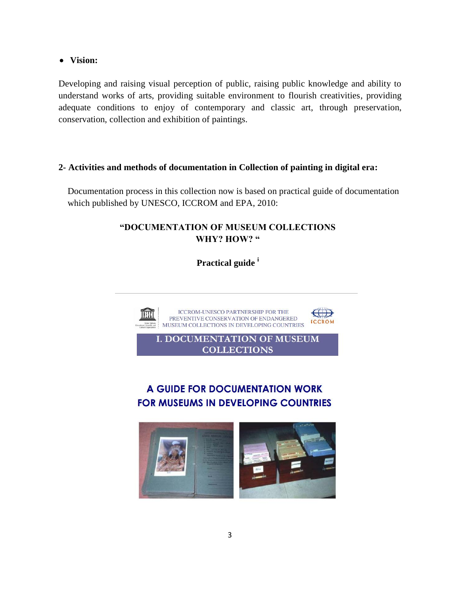**Vision:**

Developing and raising visual perception of public, raising public knowledge and ability to understand works of arts, providing suitable environment to flourish creativities, providing adequate conditions to enjoy of contemporary and classic art, through preservation, conservation, collection and exhibition of paintings.

## **2- Activities and methods of documentation in Collection of painting in digital era:**

Documentation process in this collection now is based on practical guide of documentation which published by UNESCO, ICCROM and EPA, 2010:

## **"DOCUMENTATION OF MUSEUM COLLECTIONS WHY? HOW? "**

**Practical guide <sup>i</sup>**



A GUIDE FOR DOCUMENTATION WORK

**COLLECTIONS** 

# **FOR MUSEUMS IN DEVELOPING COUNTRIES**

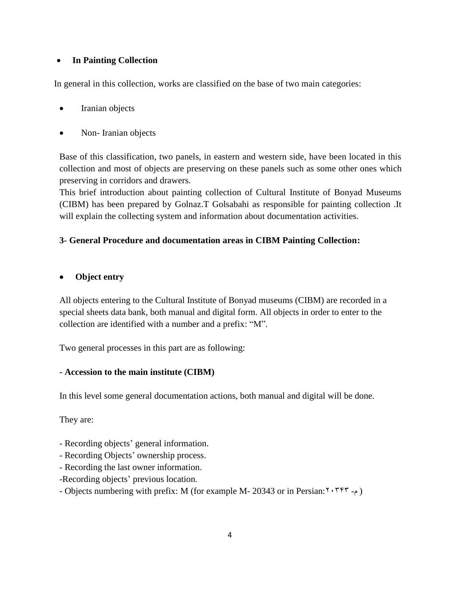## **In Painting Collection**

In general in this collection, works are classified on the base of two main categories:

- Iranian objects
- Non-Iranian objects

Base of this classification, two panels, in eastern and western side, have been located in this collection and most of objects are preserving on these panels such as some other ones which preserving in corridors and drawers.

This brief introduction about painting collection of Cultural Institute of Bonyad Museums (CIBM) has been prepared by Golnaz.T Golsabahi as responsible for painting collection .It will explain the collecting system and information about documentation activities.

## **3- General Procedure and documentation areas in CIBM Painting Collection:**

## **Object entry**

All objects entering to the Cultural Institute of Bonyad museums (CIBM) are recorded in a special sheets data bank, both manual and digital form. All objects in order to enter to the collection are identified with a number and a prefix: "M".

Two general processes in this part are as following:

#### **- Accession to the main institute (CIBM)**

In this level some general documentation actions, both manual and digital will be done.

They are:

- Recording objects' general information.
- Recording Objects' ownership process.
- Recording the last owner information.
- -Recording objects' previous location.
- Objects numbering with prefix: M (for example M- 20343 or in Persian: ٢٠٣٣٣ -م)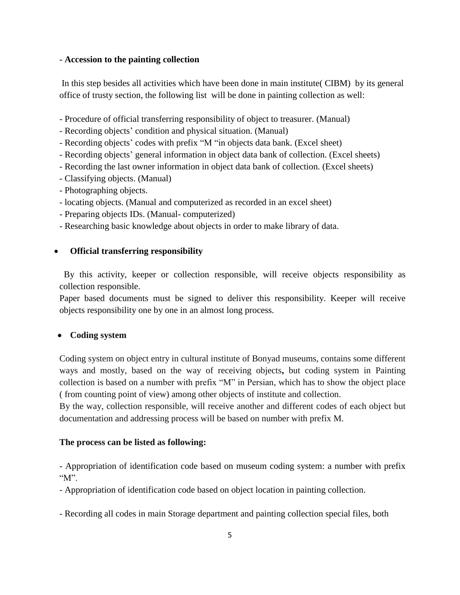#### **- Accession to the painting collection**

In this step besides all activities which have been done in main institute( CIBM) by its general office of trusty section, the following list will be done in painting collection as well:

- Procedure of official transferring responsibility of object to treasurer. (Manual)
- Recording objects' condition and physical situation. (Manual)
- Recording objects' codes with prefix "M "in objects data bank. (Excel sheet)
- Recording objects' general information in object data bank of collection. (Excel sheets)
- Recording the last owner information in object data bank of collection. (Excel sheets)
- Classifying objects. (Manual)
- Photographing objects.
- locating objects. (Manual and computerized as recorded in an excel sheet)
- Preparing objects IDs. (Manual- computerized)
- Researching basic knowledge about objects in order to make library of data.

#### **Official transferring responsibility**

 By this activity, keeper or collection responsible, will receive objects responsibility as collection responsible.

Paper based documents must be signed to deliver this responsibility. Keeper will receive objects responsibility one by one in an almost long process.

#### **Coding system**

Coding system on object entry in cultural institute of Bonyad museums, contains some different ways and mostly, based on the way of receiving objects**,** but coding system in Painting collection is based on a number with prefix "M" in Persian, which has to show the object place ( from counting point of view) among other objects of institute and collection.

By the way, collection responsible, will receive another and different codes of each object but documentation and addressing process will be based on number with prefix M.

#### **The process can be listed as following:**

- Appropriation of identification code based on museum coding system: a number with prefix " $M$ ".

- Appropriation of identification code based on object location in painting collection.

- Recording all codes in main Storage department and painting collection special files, both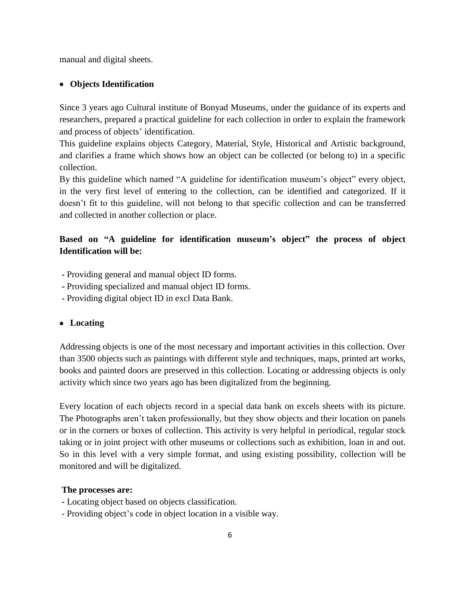manual and digital sheets.

#### **Objects Identification**

Since 3 years ago Cultural institute of Bonyad Museums, under the guidance of its experts and researchers, prepared a practical guideline for each collection in order to explain the framework and process of objects' identification.

This guideline explains objects Category, Material, Style, Historical and Artistic background, and clarifies a frame which shows how an object can be collected (or belong to) in a specific collection.

By this guideline which named "A guideline for identification museum's object" every object, in the very first level of entering to the collection, can be identified and categorized. If it doesn't fit to this guideline, will not belong to that specific collection and can be transferred and collected in another collection or place.

## **Based on "A guideline for identification museum's object" the process of object Identification will be:**

- **-** Providing general and manual object ID forms.
- **-** Providing specialized and manual object ID forms.
- **-** Providing digital object ID in excl Data Bank.

#### **Locating**

Addressing objects is one of the most necessary and important activities in this collection. Over than 3500 objects such as paintings with different style and techniques, maps, printed art works, books and painted doors are preserved in this collection. Locating or addressing objects is only activity which since two years ago has been digitalized from the beginning.

Every location of each objects record in a special data bank on excels sheets with its picture. The Photographs aren't taken professionally, but they show objects and their location on panels or in the corners or boxes of collection. This activity is very helpful in periodical, regular stock taking or in joint project with other museums or collections such as exhibition, loan in and out. So in this level with a very simple format, and using existing possibility, collection will be monitored and will be digitalized.

#### **The processes are:**

- **-** Locating object based on objects classification.
- Providing object's code in object location in a visible way.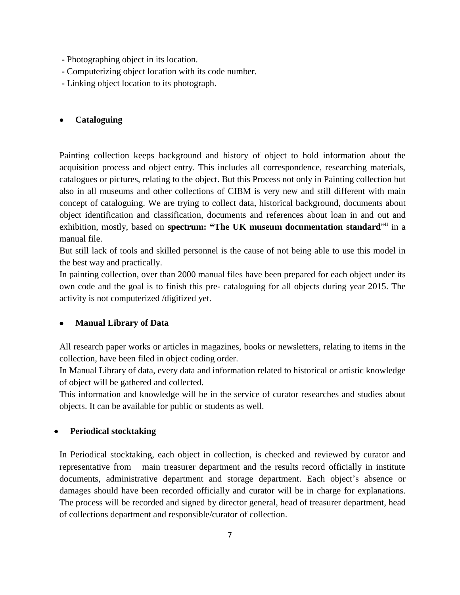- **-** Photographing object in its location.
- **-** Computerizing object location with its code number.
- **-** Linking object location to its photograph.

## **Cataloguing**

Painting collection keeps background and history of object to hold information about the acquisition process and object entry. This includes all correspondence, researching materials, catalogues or pictures, relating to the object. But this Process not only in Painting collection but also in all museums and other collections of CIBM is very new and still different with main concept of cataloguing. We are trying to collect data, historical background, documents about object identification and classification, documents and references about loan in and out and exhibition, mostly, based on **spectrum: "The UK museum documentation standard**" in a manual file.

But still lack of tools and skilled personnel is the cause of not being able to use this model in the best way and practically.

In painting collection, over than 2000 manual files have been prepared for each object under its own code and the goal is to finish this pre- cataloguing for all objects during year 2015. The activity is not computerized /digitized yet.

## **Manual Library of Data**

All research paper works or articles in magazines, books or newsletters, relating to items in the collection, have been filed in object coding order.

In Manual Library of data, every data and information related to historical or artistic knowledge of object will be gathered and collected.

This information and knowledge will be in the service of curator researches and studies about objects. It can be available for public or students as well.

## **Periodical stocktaking**

In Periodical stocktaking, each object in collection, is checked and reviewed by curator and representative from main treasurer department and the results record officially in institute documents, administrative department and storage department. Each object's absence or damages should have been recorded officially and curator will be in charge for explanations. The process will be recorded and signed by director general, head of treasurer department, head of collections department and responsible/curator of collection.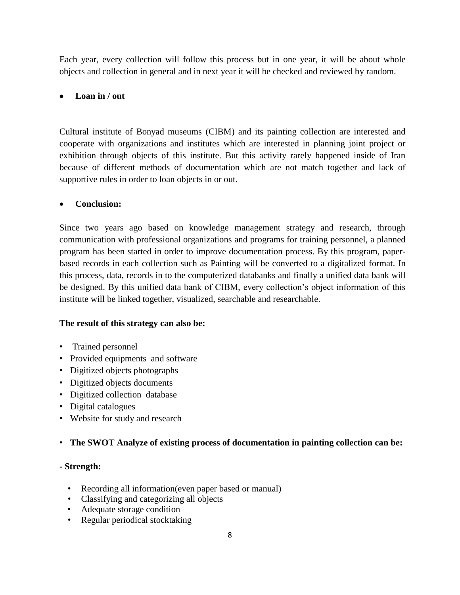Each year, every collection will follow this process but in one year, it will be about whole objects and collection in general and in next year it will be checked and reviewed by random.

## **Loan in / out**

Cultural institute of Bonyad museums (CIBM) and its painting collection are interested and cooperate with organizations and institutes which are interested in planning joint project or exhibition through objects of this institute. But this activity rarely happened inside of Iran because of different methods of documentation which are not match together and lack of supportive rules in order to loan objects in or out.

## **Conclusion:**

Since two years ago based on knowledge management strategy and research, through communication with professional organizations and programs for training personnel, a planned program has been started in order to improve documentation process. By this program, paperbased records in each collection such as Painting will be converted to a digitalized format. In this process, data, records in to the computerized databanks and finally a unified data bank will be designed. By this unified data bank of CIBM, every collection's object information of this institute will be linked together, visualized, searchable and researchable.

#### **The result of this strategy can also be:**

- Trained personnel
- Provided equipments and software
- Digitized objects photographs
- Digitized objects documents
- Digitized collection database
- Digital catalogues
- Website for study and research

## • **The SWOT Analyze of existing process of documentation in painting collection can be:**

#### **- Strength:**

- Recording all information(even paper based or manual)
- Classifying and categorizing all objects
- Adequate storage condition
- Regular periodical stocktaking